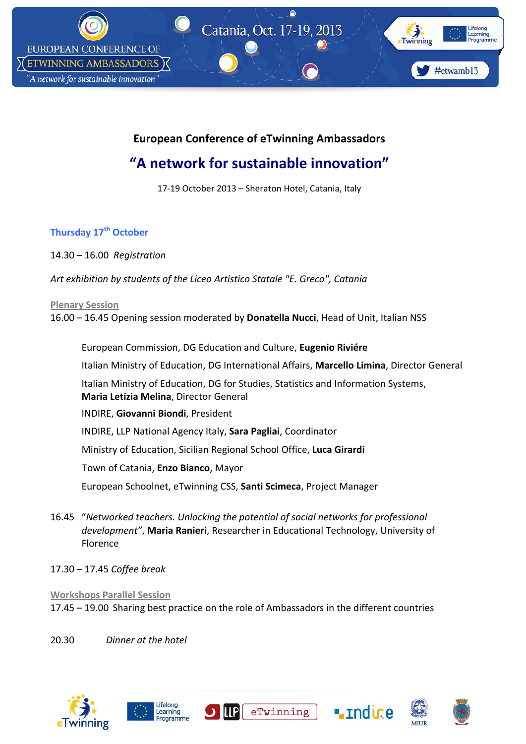

## **European Conference of eTwinning Ambassadors**

# **"A network for sustainable innovation"**

17‐19 October 2013 – Sheraton Hotel, Catania, Italy

### **Thursday 17th October**

14.30 – 16.00 *Registration* 

*Art exhibition by students of the Liceo Artistico Statale "E. Greco", Catania* 

#### **Plenary Session**

16.00 – 16.45 Opening session moderated by **Donatella Nucci**, Head of Unit, Italian NSS

European Commission, DG Education and Culture, **Eugenio Riviére** Italian Ministry of Education, DG International Affairs, **Marcello Limina**, Director General Italian Ministry of Education, DG for Studies, Statistics and Information Systems, **Maria Letizia Melina**, Director General INDIRE, **Giovanni Biondi**, President INDIRE, LLP National Agency Italy, **Sara Pagliai**, Coordinator Ministry of Education, Sicilian Regional School Office, **Luca Girardi** Town of Catania, **Enzo Bianco**, Mayor European Schoolnet, eTwinning CSS, **Santi Scimeca**, Project Manager

- 16.45 "*Networked teachers. Unlocking the potential of social networks for professional development"*, **Maria Ranieri**, Researcher in Educational Technology, University of Florence
- 17.30 17.45 *Coffee break*

### **Workshops Parallel Session** 17.45 – 19.00 Sharing best practice on the role of Ambassadors in the different countries

**U ILIP** 

20.30 *Dinner at the hotel*